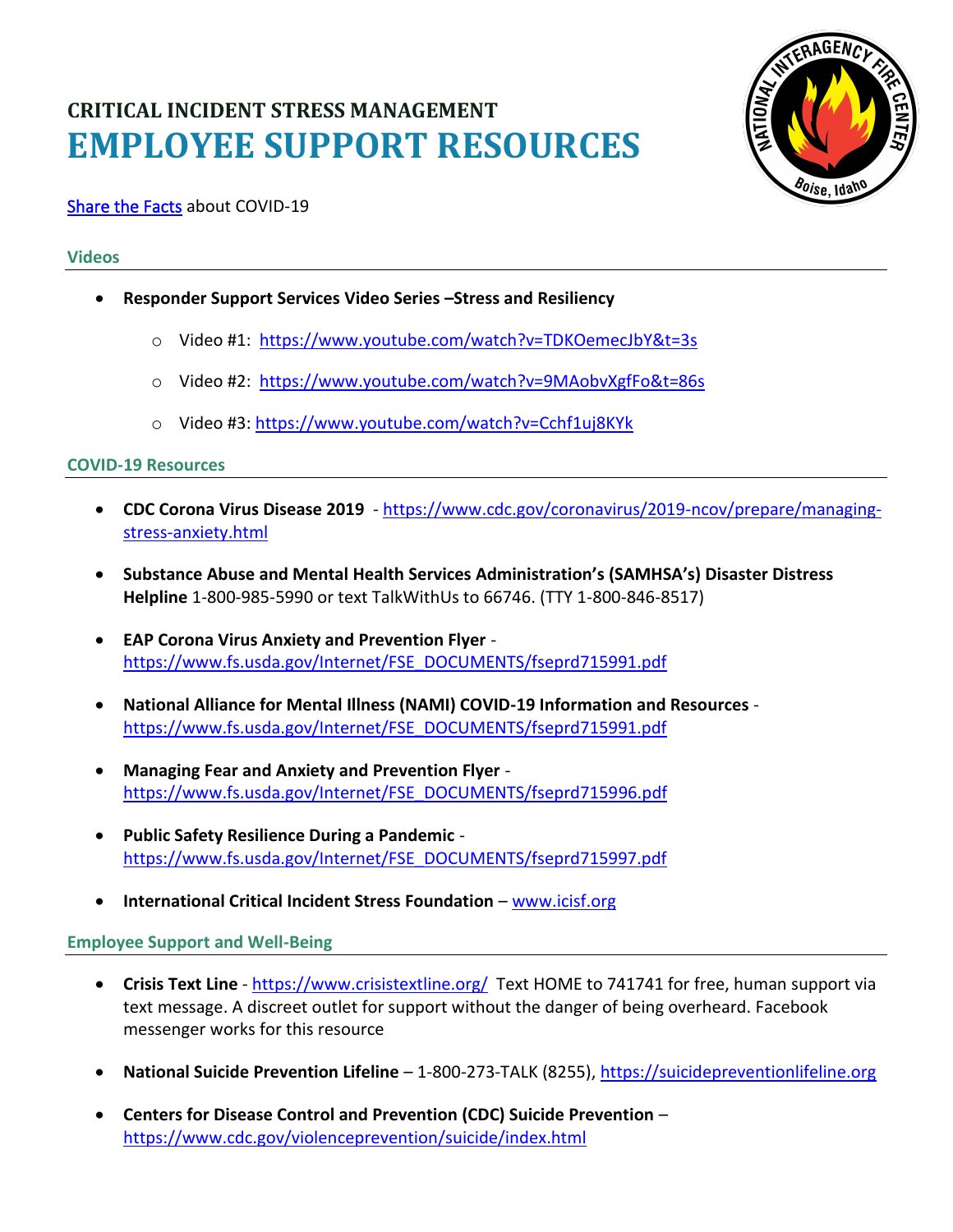# **CRITICAL INCIDENT STRESS MANAGEMENT EMPLOYEE SUPPORT RESOURCES**



# [Share the Facts](https://gcc02.safelinks.protection.outlook.com/?url=https%3A%2F%2Fwww.cdc.gov%2Fcoronavirus%2F2019-ncov%2Fabout%2Fshare-facts.html&data=02%7C01%7C%7C163b15c7d7a44751e48508d7cf4b35fb%7Ced5b36e701ee4ebc867ee03cfa0d4697%7C0%7C0%7C637205794253513084&sdata=E1MPBvsDWBXmt%2FfooYVe4oOP6vxp5ijnKeETc5j8vuE%3D&reserved=0) about COVID-19

## **Videos**

- **Responder Support Services Video Series –Stress and Resiliency**
	- o Video #1: <https://www.youtube.com/watch?v=TDKOemecJbY&t=3s>
	- o Video #2: [https://www.youtube.com/watch?v=9MAobvXgfFo&t=86s](https://gcc02.safelinks.protection.outlook.com/?url=https%3A%2F%2Fwww.youtube.com%2Fwatch%3Fv%3D9MAobvXgfFo%26t%3D86s&data=02%7C01%7C%7C439154c073de453515fe08d7d1c9fbaa%7Ced5b36e701ee4ebc867ee03cfa0d4697%7C0%7C0%7C637208537745340360&sdata=uMhEeZv4cMxVZBeNWG5bQKOXPdpFW36MFbmOQZHrr0k%3D&reserved=0)
	- o Video #3:<https://www.youtube.com/watch?v=Cchf1uj8KYk>

### **COVID-19 Resources**

- **CDC Corona Virus Disease 2019** [https://www.cdc.gov/coronavirus/2019-ncov/prepare/managing](https://gcc02.safelinks.protection.outlook.com/?url=https%3A%2F%2Fwww.cdc.gov%2Fcoronavirus%2F2019-ncov%2Fprepare%2Fmanaging-stress-anxiety.html&data=02%7C01%7C%7C163b15c7d7a44751e48508d7cf4b35fb%7Ced5b36e701ee4ebc867ee03cfa0d4697%7C0%7C0%7C637205794253493170&sdata=TySfANomieGCR85MCDE6ysrU0n%2Bl%2B0STw3cghFz1mqs%3D&reserved=0)[stress-anxiety.html](https://gcc02.safelinks.protection.outlook.com/?url=https%3A%2F%2Fwww.cdc.gov%2Fcoronavirus%2F2019-ncov%2Fprepare%2Fmanaging-stress-anxiety.html&data=02%7C01%7C%7C163b15c7d7a44751e48508d7cf4b35fb%7Ced5b36e701ee4ebc867ee03cfa0d4697%7C0%7C0%7C637205794253493170&sdata=TySfANomieGCR85MCDE6ysrU0n%2Bl%2B0STw3cghFz1mqs%3D&reserved=0)
- **Substance Abuse and Mental Health Services Administration's (SAMHSA's) Disaster Distress Helpline** 1-800-985-5990 or text TalkWithUs to 66746. (TTY 1-800-846-8517)
- **EAP Corona Virus Anxiety and Prevention Flyer** [https://www.fs.usda.gov/Internet/FSE\\_DOCUMENTS/fseprd715991.pdf](https://www.fs.usda.gov/Internet/FSE_DOCUMENTS/fseprd715991.pdf)
- **National Alliance for Mental Illness (NAMI) COVID-19 Information and Resources** [https://www.fs.usda.gov/Internet/FSE\\_DOCUMENTS/fseprd715991.pdf](https://www.fs.usda.gov/Internet/FSE_DOCUMENTS/fseprd715991.pdf)
- **Managing Fear and Anxiety and Prevention Flyer** [https://www.fs.usda.gov/Internet/FSE\\_DOCUMENTS/fseprd715996.pdf](https://www.fs.usda.gov/Internet/FSE_DOCUMENTS/fseprd715996.pdf)
- **Public Safety Resilience During a Pandemic** [https://www.fs.usda.gov/Internet/FSE\\_DOCUMENTS/fseprd715997.pdf](https://www.fs.usda.gov/Internet/FSE_DOCUMENTS/fseprd715997.pdf)
- **International Critical Incident Stress Foundation** [www.icisf.org](http://www.icisf.org/)

### **Employee Support and Well-Being**

- **Crisis Text Line** <https://www.crisistextline.org/>Text HOME to 741741 for free, human support via text message. A discreet outlet for support without the danger of being overheard. Facebook messenger works for this resource
- **National Suicide Prevention Lifeline** 1-800-273-TALK (8255)[, https://suicidepreventionlifeline.org](https://suicidepreventionlifeline.org/)
- **Centers for Disease Control and Prevention (CDC) Suicide Prevention** <https://www.cdc.gov/violenceprevention/suicide/index.html>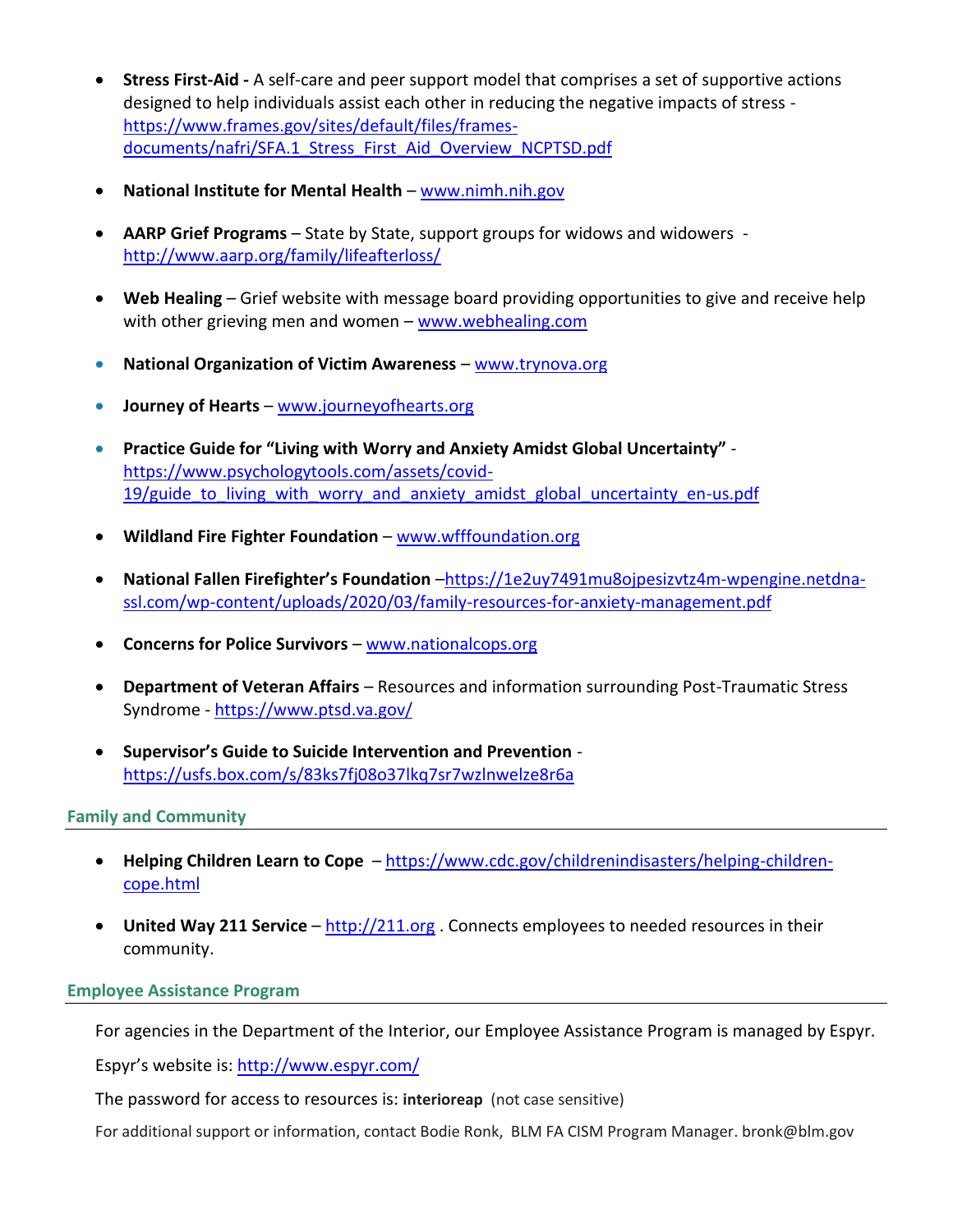- **Stress First-Aid -** A self-care and peer support model that comprises a set of supportive actions designed to help individuals assist each other in reducing the negative impacts of stress [https://www.frames.gov/sites/default/files/frames](https://www.frames.gov/sites/default/files/frames-documents/nafri/SFA.1_Stress_First_Aid_Overview_NCPTSD.pdf)[documents/nafri/SFA.1\\_Stress\\_First\\_Aid\\_Overview\\_NCPTSD.pdf](https://www.frames.gov/sites/default/files/frames-documents/nafri/SFA.1_Stress_First_Aid_Overview_NCPTSD.pdf)
- **National Institute for Mental Health** [www.nimh.nih.gov](http://www.nimh.nih.gov/)
- **AARP Grief Programs** State by State, support groups for widows and widowers <http://www.aarp.org/family/lifeafterloss/>
- **Web Healing** Grief website with message board providing opportunities to give and receive help with other grieving men and women – [www.webhealing.com](http://www.webhealing.com/)
- **National Organization of Victim Awareness** [www.trynova.org](http://www.trynova.org/)
- **Journey of Hearts** [www.journeyofhearts.org](http://www.journeyofhearts.org/)
- **Practice Guide for "Living with Worry and Anxiety Amidst Global Uncertainty"**  [https://www.psychologytools.com/assets/covid-](https://www.psychologytools.com/assets/covid-19/guide_to_living_with_worry_and_anxiety_amidst_global_uncertainty_en-us.pdf)19/guide to living with worry and anxiety amidst global uncertainty en-us.pdf
- **Wildland Fire Fighter Foundation** [www.wfffoundation.org](http://www.wfffoundation.org/)
- **National Fallen Firefighter's Foundation** –[https://1e2uy7491mu8ojpesizvtz4m-wpengine.netdna](https://1e2uy7491mu8ojpesizvtz4m-wpengine.netdna-ssl.com/wp-content/uploads/2020/03/family-resources-for-anxiety-management.pdf)[ssl.com/wp-content/uploads/2020/03/family-resources-for-anxiety-management.pdf](https://1e2uy7491mu8ojpesizvtz4m-wpengine.netdna-ssl.com/wp-content/uploads/2020/03/family-resources-for-anxiety-management.pdf)
- **Concerns for Police Survivors** [www.nationalcops.org](http://www.nationalcops.org/)
- **Department of Veteran Affairs**  Resources and information surrounding Post-Traumatic Stress Syndrome - <https://www.ptsd.va.gov/>
- **Supervisor's Guide to Suicide Intervention and Prevention** <https://usfs.box.com/s/83ks7fj08o37lkq7sr7wzlnwelze8r6a>

### **Family and Community**

- Helping Children Learn to Cope [https://www.cdc.gov/childrenindisasters/helping-children](https://www.cdc.gov/childrenindisasters/helping-children-cope.html)[cope.html](https://www.cdc.gov/childrenindisasters/helping-children-cope.html)
- **United Way 211 Service** [http://211.org](http://211.org/) . Connects employees to needed resources in their community.

### **Employee Assistance Program**

For agencies in the Department of the Interior, our Employee Assistance Program is managed by Espyr.

Espyr's website is: <http://www.espyr.com/>

The password for access to resources is: **interioreap** (not case sensitive)

For additional support or information, contact Bodie Ronk, BLM FA CISM Program Manager. bronk@blm.gov